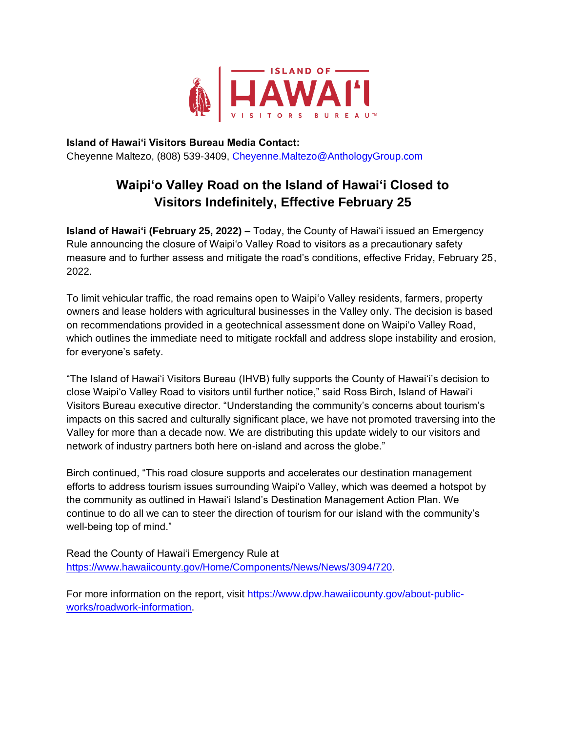

**Island of Hawai'i Visitors Bureau Media Contact:** Cheyenne Maltezo, (808) 539-3409, Cheyenne.Maltezo@AnthologyGroup.com

## **Waipi'o Valley Road on the Island of Hawai'i Closed to Visitors Indefinitely, Effective February 25**

**Island of Hawaiʻi (February 25, 2022) –** Today, the County of Hawaiʻi issued an Emergency Rule announcing the closure of Waipi'o Valley Road to visitors as a precautionary safety measure and to further assess and mitigate the road's conditions, effective Friday, February 25, 2022.

To limit vehicular traffic, the road remains open to Waipiʻo Valley residents, farmers, property owners and lease holders with agricultural businesses in the Valley only. The decision is based on recommendations provided in a geotechnical assessment done on Waipiʻo Valley Road, which outlines the immediate need to mitigate rockfall and address slope instability and erosion, for everyone's safety.

"The Island of Hawaiʻi Visitors Bureau (IHVB) fully supports the County of Hawaiʻi's decision to close Waipiʻo Valley Road to visitors until further notice," said Ross Birch, Island of Hawai'i Visitors Bureau executive director. "Understanding the community's concerns about tourism's impacts on this sacred and culturally significant place, we have not promoted traversing into the Valley for more than a decade now. We are distributing this update widely to our visitors and network of industry partners both here on-island and across the globe."

Birch continued, "This road closure supports and accelerates our destination management efforts to address tourism issues surrounding Waipi'o Valley, which was deemed a hotspot by the community as outlined in Hawaiʻi Island's Destination Management Action Plan. We continue to do all we can to steer the direction of tourism for our island with the community's well-being top of mind."

Read the County of Hawaiʻi Emergency Rule at [https://www.hawaiicounty.gov/Home/Components/News/News/3094/720.](https://www.hawaiicounty.gov/Home/Components/News/News/3094/720)

For more informa[t](https://www.dpw.hawaiicounty.gov/about-public-works/roadwork-information)ion on the report, visit [https://www.dpw.hawaiicounty.gov/about-public](https://www.dpw.hawaiicounty.gov/about-public-works/roadwork-information)[works/roadwork-information.](https://www.dpw.hawaiicounty.gov/about-public-works/roadwork-information)